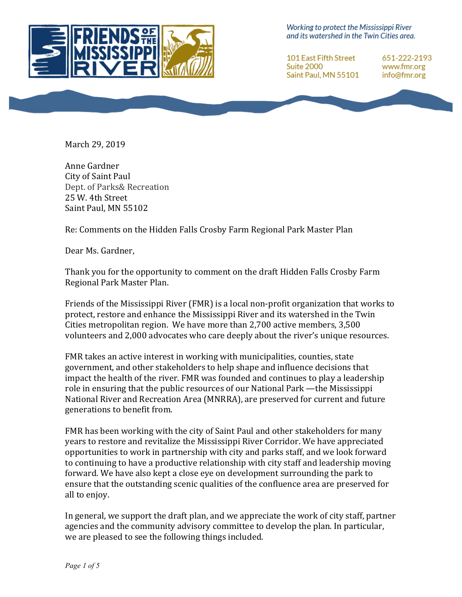

Working to protect the Mississippi River and its watershed in the Twin Cities area.

101 East Fifth Street Suite 2000 Saint Paul, MN 55101 651-222-2193 www.fmr.org info@fmr.org

March 29, 2019

Anne Gardner City of Saint Paul Dept. of Parks& Recreation 25 W. 4th Street Saint Paul, MN 55102

Re: Comments on the Hidden Falls Crosby Farm Regional Park Master Plan

Dear Ms. Gardner,

Thank you for the opportunity to comment on the draft Hidden Falls Crosby Farm Regional Park Master Plan.

Friends of the Mississippi River (FMR) is a local non-profit organization that works to protect, restore and enhance the Mississippi River and its watershed in the Twin Cities metropolitan region. We have more than  $2,700$  active members,  $3,500$ volunteers and 2,000 advocates who care deeply about the river's unique resources.

FMR takes an active interest in working with municipalities, counties, state government, and other stakeholders to help shape and influence decisions that impact the health of the river. FMR was founded and continues to play a leadership role in ensuring that the public resources of our National Park —the Mississippi National River and Recreation Area (MNRRA), are preserved for current and future generations to benefit from.

FMR has been working with the city of Saint Paul and other stakeholders for many years to restore and revitalize the Mississippi River Corridor. We have appreciated opportunities to work in partnership with city and parks staff, and we look forward to continuing to have a productive relationship with city staff and leadership moving forward. We have also kept a close eve on development surrounding the park to ensure that the outstanding scenic qualities of the confluence area are preserved for all to enjoy.

In general, we support the draft plan, and we appreciate the work of city staff, partner agencies and the community advisory committee to develop the plan. In particular, we are pleased to see the following things included.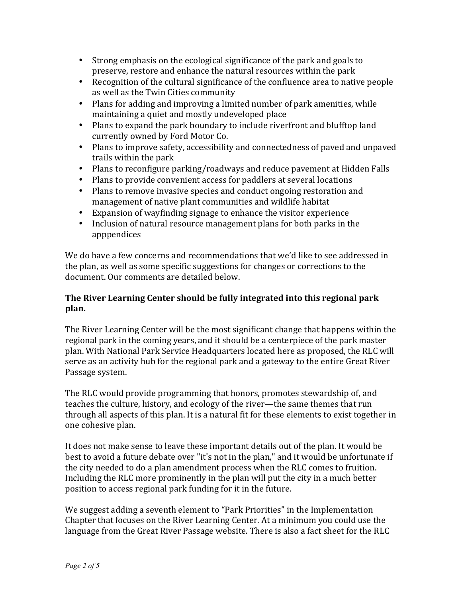- Strong emphasis on the ecological significance of the park and goals to preserve, restore and enhance the natural resources within the park
- Recognition of the cultural significance of the confluence area to native people as well as the Twin Cities community
- Plans for adding and improving a limited number of park amenities, while maintaining a quiet and mostly undeveloped place
- Plans to expand the park boundary to include riverfront and blufftop land currently owned by Ford Motor Co.
- Plans to improve safety, accessibility and connectedness of paved and unpaved trails within the park
- Plans to reconfigure parking/roadways and reduce pavement at Hidden Falls
- Plans to provide convenient access for paddlers at several locations
- Plans to remove invasive species and conduct ongoing restoration and management of native plant communities and wildlife habitat
- Expansion of wayfinding signage to enhance the visitor experience
- Inclusion of natural resource management plans for both parks in the apppendices

We do have a few concerns and recommendations that we'd like to see addressed in the plan, as well as some specific suggestions for changes or corrections to the document. Our comments are detailed below.

# **The River Learning Center should be fully integrated into this regional park plan.**

The River Learning Center will be the most significant change that happens within the regional park in the coming years, and it should be a centerpiece of the park master plan. With National Park Service Headquarters located here as proposed, the RLC will serve as an activity hub for the regional park and a gateway to the entire Great River Passage system.

The RLC would provide programming that honors, promotes stewardship of, and teaches the culture, history, and ecology of the river—the same themes that run through all aspects of this plan. It is a natural fit for these elements to exist together in one cohesive plan.

It does not make sense to leave these important details out of the plan. It would be best to avoid a future debate over "it's not in the plan," and it would be unfortunate if the city needed to do a plan amendment process when the RLC comes to fruition. Including the RLC more prominently in the plan will put the city in a much better position to access regional park funding for it in the future.

We suggest adding a seventh element to "Park Priorities" in the Implementation Chapter that focuses on the River Learning Center. At a minimum you could use the language from the Great River Passage website. There is also a fact sheet for the RLC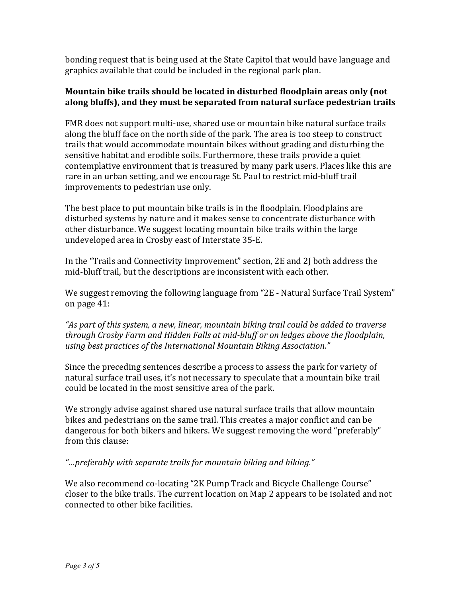bonding request that is being used at the State Capitol that would have language and graphics available that could be included in the regional park plan.

## **Mountain bike trails should be located in disturbed floodplain areas only (not along bluffs), and they must be separated from natural surface pedestrian trails**

FMR does not support multi-use, shared use or mountain bike natural surface trails along the bluff face on the north side of the park. The area is too steep to construct trails that would accommodate mountain bikes without grading and disturbing the sensitive habitat and erodible soils. Furthermore, these trails provide a quiet contemplative environment that is treasured by many park users. Places like this are rare in an urban setting, and we encourage St. Paul to restrict mid-bluff trail improvements to pedestrian use only.

The best place to put mountain bike trails is in the floodplain. Floodplains are disturbed systems by nature and it makes sense to concentrate disturbance with other disturbance. We suggest locating mountain bike trails within the large undeveloped area in Crosby east of Interstate 35-E.

In the "Trails and Connectivity Improvement" section, 2E and 2J both address the mid-bluff trail, but the descriptions are inconsistent with each other.

We suggest removing the following language from "2E - Natural Surface Trail System" on page 41:

"As part of this system, a new, linear, mountain biking trail could be added to traverse *through Crosby Farm and Hidden Falls at mid-bluff or on ledges above the floodplain,* using best practices of the International Mountain Biking Association."

Since the preceding sentences describe a process to assess the park for variety of natural surface trail uses, it's not necessary to speculate that a mountain bike trail could be located in the most sensitive area of the park.

We strongly advise against shared use natural surface trails that allow mountain bikes and pedestrians on the same trail. This creates a major conflict and can be dangerous for both bikers and hikers. We suggest removing the word "preferably" from this clause:

*"…preferably with separate trails for mountain biking and hiking."*

We also recommend co-locating "2K Pump Track and Bicycle Challenge Course" closer to the bike trails. The current location on Map 2 appears to be isolated and not connected to other bike facilities.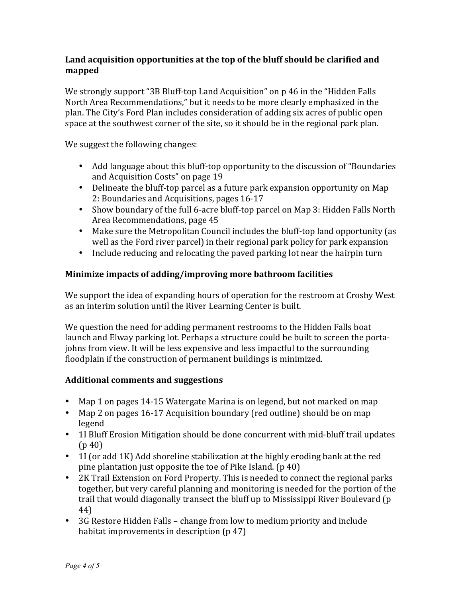## Land acquisition opportunities at the top of the bluff should be clarified and **mapped**

We strongly support "3B Bluff-top Land Acquisition" on p 46 in the "Hidden Falls" North Area Recommendations," but it needs to be more clearly emphasized in the plan. The City's Ford Plan includes consideration of adding six acres of public open space at the southwest corner of the site, so it should be in the regional park plan.

We suggest the following changes:

- Add language about this bluff-top opportunity to the discussion of "Boundaries" and Acquisition Costs" on page 19
- Delineate the bluff-top parcel as a future park expansion opportunity on Map 2: Boundaries and Acquisitions, pages 16-17
- Show boundary of the full 6-acre bluff-top parcel on Map 3: Hidden Falls North Area Recommendations, page 45
- Make sure the Metropolitan Council includes the bluff-top land opportunity (as well as the Ford river parcel) in their regional park policy for park expansion
- Include reducing and relocating the paved parking lot near the hairpin turn

# **Minimize impacts of adding/improving more bathroom facilities**

We support the idea of expanding hours of operation for the restroom at Crosby West as an interim solution until the River Learning Center is built.

We question the need for adding permanent restrooms to the Hidden Falls boat launch and Elway parking lot. Perhaps a structure could be built to screen the portajohns from view. It will be less expensive and less impactful to the surrounding floodplain if the construction of permanent buildings is minimized.

# **Additional comments and suggestions**

- Map 1 on pages 14-15 Watergate Marina is on legend, but not marked on map
- Map 2 on pages 16-17 Acquisition boundary (red outline) should be on map legend
- 1I Bluff Erosion Mitigation should be done concurrent with mid-bluff trail updates  $(p 40)$
- 1I (or add 1K) Add shoreline stabilization at the highly eroding bank at the red pine plantation just opposite the toe of Pike Island. (p 40)
- 2K Trail Extension on Ford Property. This is needed to connect the regional parks together, but very careful planning and monitoring is needed for the portion of the trail that would diagonally transect the bluff up to Mississippi River Boulevard (p 44)
- 3G Restore Hidden Falls change from low to medium priority and include habitat improvements in description  $(p\ 47)$